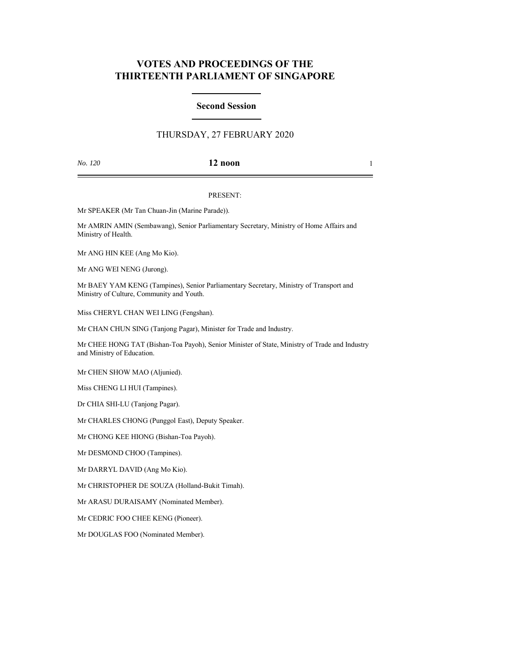# **VOTES AND PROCEEDINGS OF THE THIRTEENTH PARLIAMENT OF SINGAPORE**

#### **Second Session**

## THURSDAY, 27 FEBRUARY 2020

### *No. 120* **12 noon** 1

#### PRESENT:

Mr SPEAKER (Mr Tan Chuan-Jin (Marine Parade)).

Mr AMRIN AMIN (Sembawang), Senior Parliamentary Secretary, Ministry of Home Affairs and Ministry of Health.

Mr ANG HIN KEE (Ang Mo Kio).

Mr ANG WEI NENG (Jurong).

Mr BAEY YAM KENG (Tampines), Senior Parliamentary Secretary, Ministry of Transport and Ministry of Culture, Community and Youth.

Miss CHERYL CHAN WEI LING (Fengshan).

Mr CHAN CHUN SING (Tanjong Pagar), Minister for Trade and Industry.

Mr CHEE HONG TAT (Bishan-Toa Payoh), Senior Minister of State, Ministry of Trade and Industry and Ministry of Education.

Mr CHEN SHOW MAO (Aljunied).

Miss CHENG LI HUI (Tampines).

Dr CHIA SHI-LU (Tanjong Pagar).

Mr CHARLES CHONG (Punggol East), Deputy Speaker.

Mr CHONG KEE HIONG (Bishan-Toa Payoh).

Mr DESMOND CHOO (Tampines).

Mr DARRYL DAVID (Ang Mo Kio).

Mr CHRISTOPHER DE SOUZA (Holland-Bukit Timah).

Mr ARASU DURAISAMY (Nominated Member).

Mr CEDRIC FOO CHEE KENG (Pioneer).

Mr DOUGLAS FOO (Nominated Member).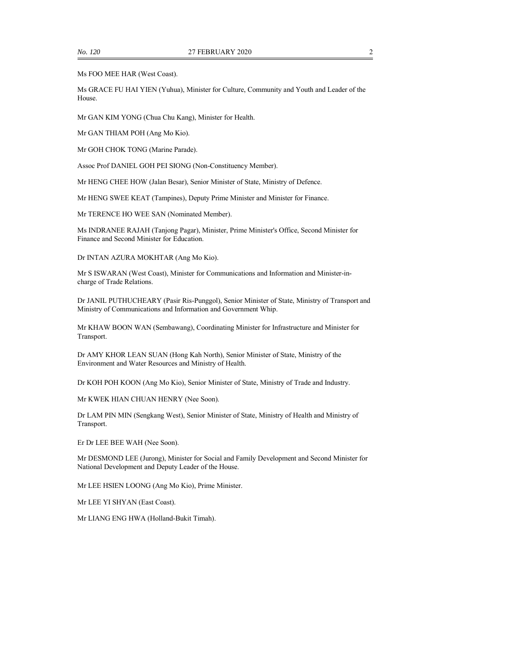Ms FOO MEE HAR (West Coast).

Ms GRACE FU HAI YIEN (Yuhua), Minister for Culture, Community and Youth and Leader of the House.

Mr GAN KIM YONG (Chua Chu Kang), Minister for Health.

Mr GAN THIAM POH (Ang Mo Kio).

Mr GOH CHOK TONG (Marine Parade).

Assoc Prof DANIEL GOH PEI SIONG (Non-Constituency Member).

Mr HENG CHEE HOW (Jalan Besar), Senior Minister of State, Ministry of Defence.

Mr HENG SWEE KEAT (Tampines), Deputy Prime Minister and Minister for Finance.

Mr TERENCE HO WEE SAN (Nominated Member).

Ms INDRANEE RAJAH (Tanjong Pagar), Minister, Prime Minister's Office, Second Minister for Finance and Second Minister for Education.

Dr INTAN AZURA MOKHTAR (Ang Mo Kio).

Mr S ISWARAN (West Coast), Minister for Communications and Information and Minister-incharge of Trade Relations.

Dr JANIL PUTHUCHEARY (Pasir Ris-Punggol), Senior Minister of State, Ministry of Transport and Ministry of Communications and Information and Government Whip.

Mr KHAW BOON WAN (Sembawang), Coordinating Minister for Infrastructure and Minister for Transport.

Dr AMY KHOR LEAN SUAN (Hong Kah North), Senior Minister of State, Ministry of the Environment and Water Resources and Ministry of Health.

Dr KOH POH KOON (Ang Mo Kio), Senior Minister of State, Ministry of Trade and Industry.

Mr KWEK HIAN CHUAN HENRY (Nee Soon).

Dr LAM PIN MIN (Sengkang West), Senior Minister of State, Ministry of Health and Ministry of Transport.

Er Dr LEE BEE WAH (Nee Soon).

Mr DESMOND LEE (Jurong), Minister for Social and Family Development and Second Minister for National Development and Deputy Leader of the House.

Mr LEE HSIEN LOONG (Ang Mo Kio), Prime Minister.

Mr LEE YI SHYAN (East Coast).

Mr LIANG ENG HWA (Holland-Bukit Timah).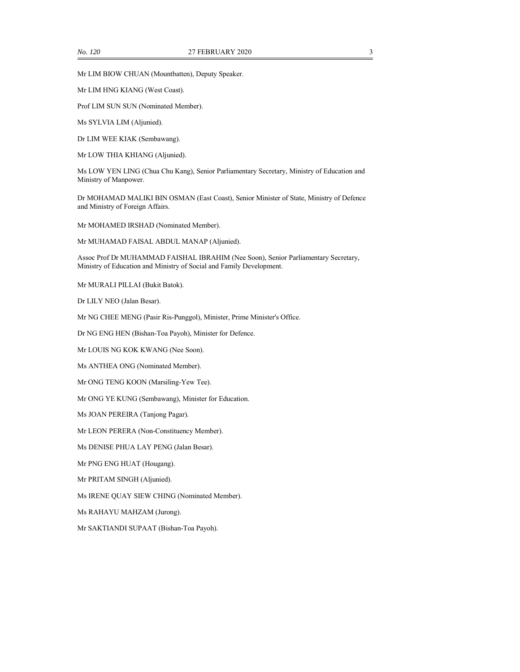Mr LIM BIOW CHUAN (Mountbatten), Deputy Speaker.

Mr LIM HNG KIANG (West Coast).

Prof LIM SUN SUN (Nominated Member).

Ms SYLVIA LIM (Aljunied).

Dr LIM WEE KIAK (Sembawang).

Mr LOW THIA KHIANG (Aljunied).

Ms LOW YEN LING (Chua Chu Kang), Senior Parliamentary Secretary, Ministry of Education and Ministry of Manpower.

Dr MOHAMAD MALIKI BIN OSMAN (East Coast), Senior Minister of State, Ministry of Defence and Ministry of Foreign Affairs.

Mr MOHAMED IRSHAD (Nominated Member).

Mr MUHAMAD FAISAL ABDUL MANAP (Aljunied).

Assoc Prof Dr MUHAMMAD FAISHAL IBRAHIM (Nee Soon), Senior Parliamentary Secretary, Ministry of Education and Ministry of Social and Family Development.

Mr MURALI PILLAI (Bukit Batok).

Dr LILY NEO (Jalan Besar).

Mr NG CHEE MENG (Pasir Ris-Punggol), Minister, Prime Minister's Office.

Dr NG ENG HEN (Bishan-Toa Payoh), Minister for Defence.

Mr LOUIS NG KOK KWANG (Nee Soon).

Ms ANTHEA ONG (Nominated Member).

Mr ONG TENG KOON (Marsiling-Yew Tee).

Mr ONG YE KUNG (Sembawang), Minister for Education.

Ms JOAN PEREIRA (Tanjong Pagar).

Mr LEON PERERA (Non-Constituency Member).

Ms DENISE PHUA LAY PENG (Jalan Besar).

Mr PNG ENG HUAT (Hougang).

Mr PRITAM SINGH (Aljunied).

Ms IRENE QUAY SIEW CHING (Nominated Member).

Ms RAHAYU MAHZAM (Jurong).

Mr SAKTIANDI SUPAAT (Bishan-Toa Payoh).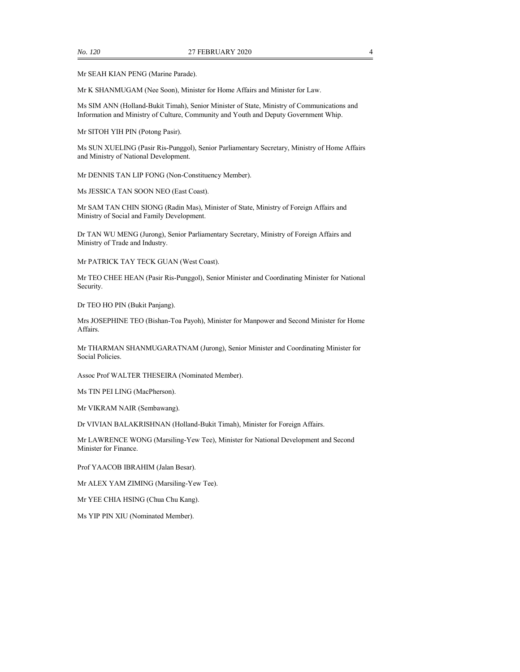Mr SEAH KIAN PENG (Marine Parade).

Mr K SHANMUGAM (Nee Soon), Minister for Home Affairs and Minister for Law.

Ms SIM ANN (Holland-Bukit Timah), Senior Minister of State, Ministry of Communications and Information and Ministry of Culture, Community and Youth and Deputy Government Whip.

Mr SITOH YIH PIN (Potong Pasir).

Ms SUN XUELING (Pasir Ris-Punggol), Senior Parliamentary Secretary, Ministry of Home Affairs and Ministry of National Development.

Mr DENNIS TAN LIP FONG (Non-Constituency Member).

Ms JESSICA TAN SOON NEO (East Coast).

Mr SAM TAN CHIN SIONG (Radin Mas), Minister of State, Ministry of Foreign Affairs and Ministry of Social and Family Development.

Dr TAN WU MENG (Jurong), Senior Parliamentary Secretary, Ministry of Foreign Affairs and Ministry of Trade and Industry.

Mr PATRICK TAY TECK GUAN (West Coast).

Mr TEO CHEE HEAN (Pasir Ris-Punggol), Senior Minister and Coordinating Minister for National Security.

Dr TEO HO PIN (Bukit Panjang).

Mrs JOSEPHINE TEO (Bishan-Toa Payoh), Minister for Manpower and Second Minister for Home Affairs.

Mr THARMAN SHANMUGARATNAM (Jurong), Senior Minister and Coordinating Minister for Social Policies.

Assoc Prof WALTER THESEIRA (Nominated Member).

Ms TIN PEI LING (MacPherson).

Mr VIKRAM NAIR (Sembawang).

Dr VIVIAN BALAKRISHNAN (Holland-Bukit Timah), Minister for Foreign Affairs.

Mr LAWRENCE WONG (Marsiling-Yew Tee), Minister for National Development and Second Minister for Finance.

Prof YAACOB IBRAHIM (Jalan Besar).

Mr ALEX YAM ZIMING (Marsiling-Yew Tee).

Mr YEE CHIA HSING (Chua Chu Kang).

Ms YIP PIN XIU (Nominated Member).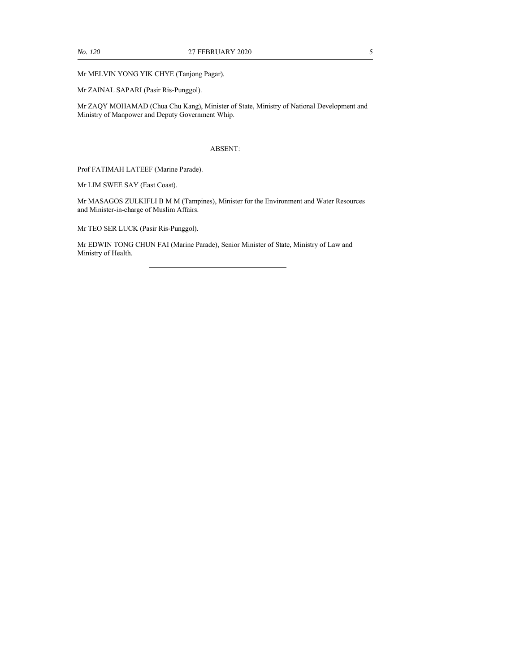Mr MELVIN YONG YIK CHYE (Tanjong Pagar).

Mr ZAINAL SAPARI (Pasir Ris-Punggol).

Mr ZAQY MOHAMAD (Chua Chu Kang), Minister of State, Ministry of National Development and Ministry of Manpower and Deputy Government Whip.

#### ABSENT:

Prof FATIMAH LATEEF (Marine Parade).

Mr LIM SWEE SAY (East Coast).

Mr MASAGOS ZULKIFLI B M M (Tampines), Minister for the Environment and Water Resources and Minister-in-charge of Muslim Affairs.

Mr TEO SER LUCK (Pasir Ris-Punggol).

Mr EDWIN TONG CHUN FAI (Marine Parade), Senior Minister of State, Ministry of Law and Ministry of Health.